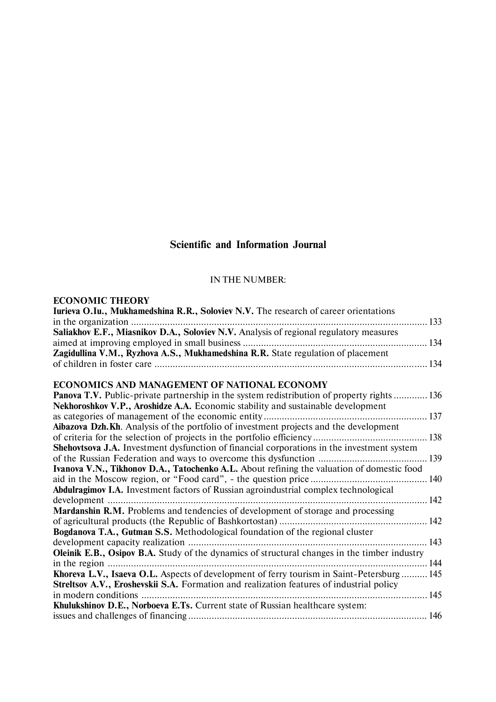# **Scientific and Information Journal**

### IN THE NUMBER:

## **ECONOMIC THEORY**

| Iurieva O.Iu., Mukhamedshina R.R., Soloviev N.V. The research of career orientations                |  |
|-----------------------------------------------------------------------------------------------------|--|
|                                                                                                     |  |
| Saliakhov E.F., Miasnikov D.A., Soloviev N.V. Analysis of regional regulatory measures              |  |
|                                                                                                     |  |
| Zagidullina V.M., Ryzhova A.S., Mukhamedshina R.R. State regulation of placement                    |  |
|                                                                                                     |  |
| ECONOMICS AND MANAGEMENT OF NATIONAL ECONOMY                                                        |  |
| <b>Panova T.V.</b> Public-private partnership in the system redistribution of property rights  136  |  |
| Nekhoroshkov V.P., Aroshidze A.A. Economic stability and sustainable development                    |  |
|                                                                                                     |  |
| Aibazova Dzh.Kh. Analysis of the portfolio of investment projects and the development               |  |
|                                                                                                     |  |
| Shehovtsova J.A. Investment dysfunction of financial corporations in the investment system          |  |
|                                                                                                     |  |
| Ivanova V.N., Tikhonov D.A., Tatochenko A.L. About refining the valuation of domestic food          |  |
|                                                                                                     |  |
| Abdulragimov I.A. Investment factors of Russian agroindustrial complex technological                |  |
|                                                                                                     |  |
| <b>Mardanshin R.M.</b> Problems and tendencies of development of storage and processing             |  |
|                                                                                                     |  |
| Bogdanova T.A., Gutman S.S. Methodological foundation of the regional cluster                       |  |
|                                                                                                     |  |
| <b>Oleinik E.B., Osipov B.A.</b> Study of the dynamics of structural changes in the timber industry |  |
|                                                                                                     |  |
| Khoreva L.V., Isaeva O.L. Aspects of development of ferry tourism in Saint-Petersburg  145          |  |
| Streltsov A.V., Eroshevskii S.A. Formation and realization features of industrial policy            |  |
|                                                                                                     |  |
| Khulukshinov D.E., Norboeva E.Ts. Current state of Russian healthcare system:                       |  |
|                                                                                                     |  |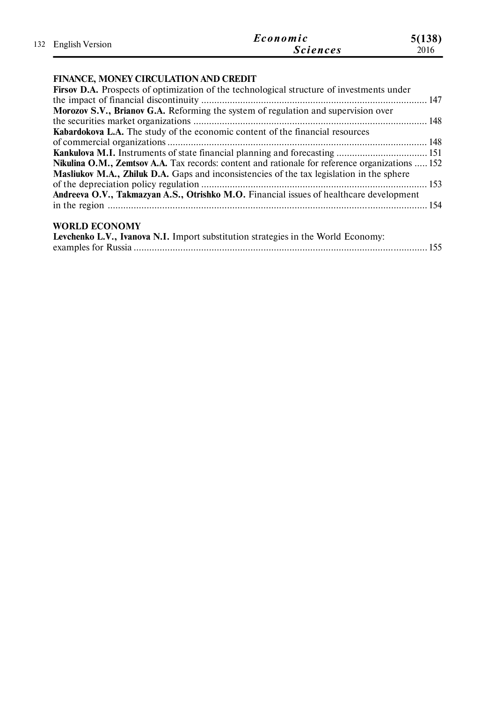| 132 English Version | Economic | 5(138)          |      |
|---------------------|----------|-----------------|------|
|                     |          | <b>Sciences</b> | 2016 |

## **FINANCE, MONEY CIRCULATION AND CREDIT**

| Firsov D.A. Prospects of optimization of the technological structure of investments under       |  |
|-------------------------------------------------------------------------------------------------|--|
|                                                                                                 |  |
| Morozov S.V., Brianov G.A. Reforming the system of regulation and supervision over              |  |
|                                                                                                 |  |
| Kabardokova L.A. The study of the economic content of the financial resources                   |  |
|                                                                                                 |  |
|                                                                                                 |  |
| Nikulina O.M., Zemtsov A.A. Tax records: content and rationale for reference organizations  152 |  |
| Masliukov M.A., Zhiluk D.A. Gaps and inconsistencies of the tax legislation in the sphere       |  |
|                                                                                                 |  |
| Andreeva O.V., Takmazyan A.S., Otrishko M.O. Financial issues of healthcare development         |  |
|                                                                                                 |  |
|                                                                                                 |  |
| <b>WORLD ECONOMY</b>                                                                            |  |

## Levchenko L.V., Ivanova N.I. Import substitution strategies in the World Economy: examples for Russia ................................................................................................................. 155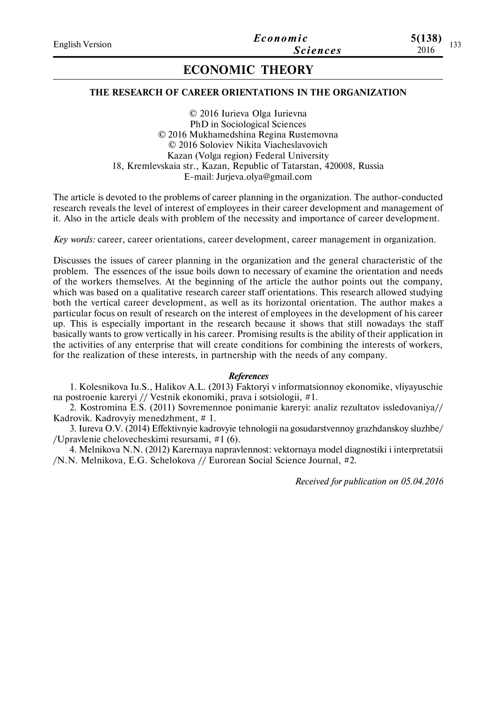### **THE RESEARCH OF CAREER ORIENTATIONS IN THE ORGANIZATION**

© 2016 Iurieva Olga Iurievna PhD in Sociological Sciences © 2016 Mukhamedshina Regina Rustemovna © 2016 Soloviev Nikita Viacheslavovich Kazan (Volga region) Federal University 18, Kremlevskaia str., Kazan, Republic of Tatarstan, 420008, Russia E-mail: Jurjeva.olya@gmail.com

The article is devoted to the problems of career planning in the organization. The author-conducted research reveals the level of interest of employees in their career development and management of it. Also in the article deals with problem of the necessity and importance of career development.

*Key words:* career, career orientations, career development, career management in organization.

Discusses the issues of career planning in the organization and the general characteristic of the problem. The essences of the issue boils down to necessary of examine the orientation and needs of the workers themselves. At the beginning of the article the author points out the company, which was based on a qualitative research career staff orientations. This research allowed studying both the vertical career development, as well as its horizontal orientation. The author makes a particular focus on result of research on the interest of employees in the development of his career up. This is especially important in the research because it shows that still nowadays the staff basically wants to grow vertically in his career. Promising results is the ability of their application in the activities of any enterprise that will create conditions for combining the interests of workers, for the realization of these interests, in partnership with the needs of any company.

#### *References*

1. Kolesnikova Iu.S., Halikov A.L. (2013) Faktoryi v informatsionnoy ekonomike, vliyayuschie na postroenie kareryi // Vestnik ekonomiki, prava i sotsiologii, #1.

2. Kostromina E.S. (2011) Sovremennoe ponimanie kareryi: analiz rezultatov issledovaniya// Kadrovik. Kadrovyiy menedzhment, # 1.

3. Iureva O.V. (2014) Effektivnyie kadrovyie tehnologii na gosudarstvennoy grazhdanskoy sluzhbe/ /Upravlenie chelovecheskimi resursami, #1 (6).

4. Melnikova N.N. (2012) Karernaya napravlennost: vektornaya model diagnostiki i interpretatsii /N.N. Melnikova, E.G. Schelokova // Eurorean Social Science Journal, #2.

*Received for publication on 05.04.2016*

**5(138)**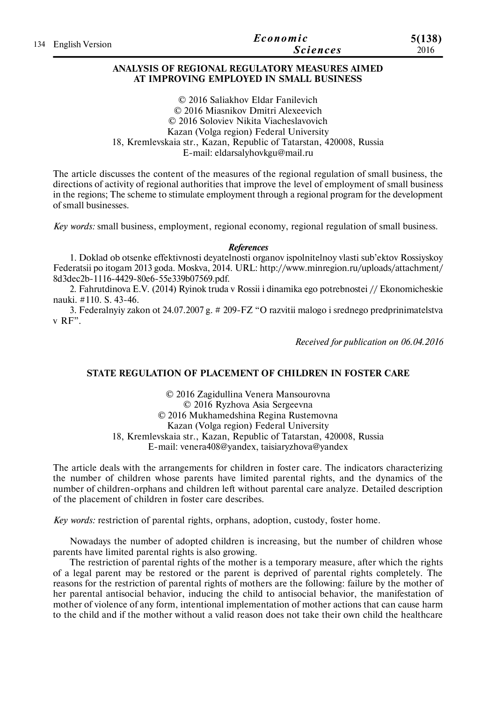|                     | Economic        | 5(138) |
|---------------------|-----------------|--------|
| 134 English Version | <b>Sciences</b> | 2016   |

#### **ANALYSIS OF REGIONAL REGULATORY MEASURES AIMED AT IMPROVING EMPLOYED IN SMALL BUSINESS**

© 2016 Saliakhov Eldar Fanilevich © 2016 Miasnikov Dmitri Alexeevich © 2016 Soloviev Nikita Viacheslavovich Kazan (Volga region) Federal University 18, Kremlevskaia str., Kazan, Republic of Tatarstan, 420008, Russia E-mail: eldarsalyhovkgu@mail.ru

The article discusses the content of the measures of the regional regulation of small business, the directions of activity of regional authorities that improve the level of employment of small business in the regions; The scheme to stimulate employment through a regional program for the development of small businesses.

*Key words:* small business, employment, regional economy, regional regulation of small business.

#### *References*

1. Doklad ob otsenke effektivnosti deyatelnosti organov ispolnitelnoy vlasti sub'ektov Rossiyskoy Federatsii po itogam 2013 goda. Moskva, 2014. URL: http://www.minregion.ru/uploads/attachment/ 8d3dec2b-1116-4429-80e6-55e339b07569.pdf.

2. Fahrutdinova E.V. (2014) Ryinok truda v Rossii i dinamika ego potrebnostei // Ekonomicheskie nauki. #110. S. 43-46.

3. Federalnyiy zakon ot 24.07.2007 g. # 209-FZ "O razvitii malogo i srednego predprinimatelstva v RF".

*Received for publication on 06.04.2016*

### **STATE REGULATION OF PLACEMENT OF CHILDREN IN FOSTER CARE**

© 2016 Zagidullina Venera Mansourovna © 2016 Ryzhova Asia Sergeevna © 2016 Mukhamedshina Regina Rustemovna Kazan (Volga region) Federal University 18, Kremlevskaia str., Kazan, Republic of Tatarstan, 420008, Russia E-mail: venera408@yandex, taisiaryzhova@yandex

The article deals with the arrangements for children in foster care. The indicators characterizing the number of children whose parents have limited parental rights, and the dynamics of the number of children-orphans and children left without parental care analyze. Detailed description of the placement of children in foster care describes.

*Key words:* restriction of parental rights, orphans, adoption, custody, foster home.

Nowadays the number of adopted children is increasing, but the number of children whose parents have limited parental rights is also growing.

The restriction of parental rights of the mother is a temporary measure, after which the rights of a legal parent may be restored or the parent is deprived of parental rights completely. The reasons for the restriction of parental rights of mothers are the following: failure by the mother of her parental antisocial behavior, inducing the child to antisocial behavior, the manifestation of mother of violence of any form, intentional implementation of mother actions that can cause harm to the child and if the mother without a valid reason does not take their own child the healthcare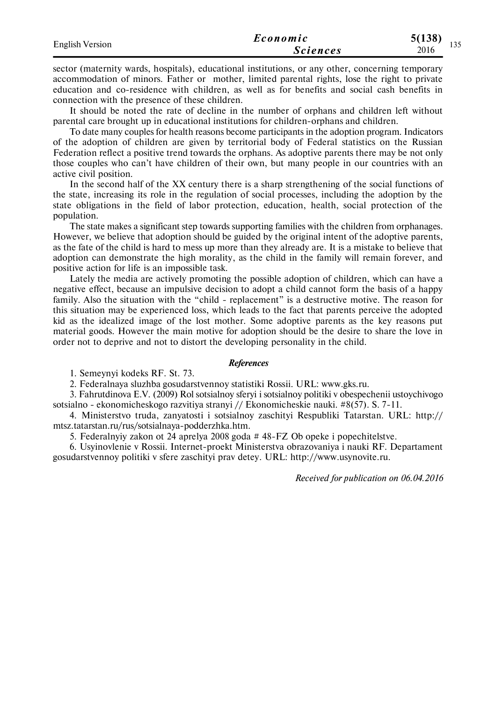| <b>English Version</b> | Economic        | 5(138)<br>$\sim$ $\sim$ |       |
|------------------------|-----------------|-------------------------|-------|
|                        | <i>Sciences</i> | 2016                    | 1 J J |

sector (maternity wards, hospitals), educational institutions, or any other, concerning temporary accommodation of minors. Father or mother, limited parental rights, lose the right to private education and co-residence with children, as well as for benefits and social cash benefits in connection with the presence of these children.

It should be noted the rate of decline in the number of orphans and children left without parental care brought up in educational institutions for children-orphans and children.

To date many couples for health reasons become participants in the adoption program. Indicators of the adoption of children are given by territorial body of Federal statistics on the Russian Federation reflect a positive trend towards the orphans. As adoptive parents there may be not only those couples who can't have children of their own, but many people in our countries with an active civil position.

In the second half of the XX century there is a sharp strengthening of the social functions of the state, increasing its role in the regulation of social processes, including the adoption by the state obligations in the field of labor protection, education, health, social protection of the population.

The state makes a significant step towards supporting families with the children from orphanages. However, we believe that adoption should be guided by the original intent of the adoptive parents, as the fate of the child is hard to mess up more than they already are. It is a mistake to believe that adoption can demonstrate the high morality, as the child in the family will remain forever, and positive action for life is an impossible task.

Lately the media are actively promoting the possible adoption of children, which can have a negative effect, because an impulsive decision to adopt a child cannot form the basis of a happy family. Also the situation with the "child - replacement" is a destructive motive. The reason for this situation may be experienced loss, which leads to the fact that parents perceive the adopted kid as the idealized image of the lost mother. Some adoptive parents as the key reasons put material goods. However the main motive for adoption should be the desire to share the love in order not to deprive and not to distort the developing personality in the child.

### *References*

1. Semeynyi kodeks RF. St. 73.

2. Federalnaya sluzhba gosudarstvennoy statistiki Rossii. URL: www.gks.ru.

3. Fahrutdinova E.V. (2009) Rol sotsialnoy sferyi i sotsialnoy politiki v obespechenii ustoychivogo sotsialno - ekonomicheskogo razvitiya stranyi // Ekonomicheskie nauki. #8(57). S. 7-11.

4. Ministerstvo truda, zanyatosti i sotsialnoy zaschityi Respubliki Tatarstan. URL: http:// mtsz.tatarstan.ru/rus/sotsialnaya-podderzhka.htm.

5. Federalnyiy zakon ot 24 aprelya 2008 goda # 48-FZ Ob opeke i popechitelstve.

6. Usyinovlenie v Rossii. Internet-proekt Ministerstva obrazovaniya i nauki RF. Departament gosudarstvennoy politiki v sfere zaschityi prav detey. URL: http://www.usynovite.ru.

*Received for publication on 06.04.2016*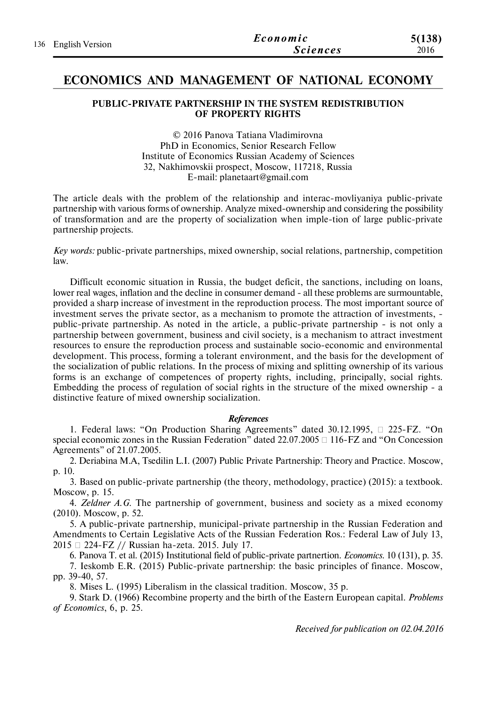| 136 English Version | Economic        | 5(138) |
|---------------------|-----------------|--------|
|                     | <i>Sciences</i> | 2016   |

## **ECONOMICS AND MANAGEMENT OF NATIONAL ECONOMY**

### **PUBLIC-PRIVATE PARTNERSHIP IN THE SYSTEM REDISTRIBUTION OF PROPERTY RIGHTS**

© 2016 Panova Tatiana Vladimirovna PhD in Economics, Senior Research Fellow Institute of Economics Russian Academy of Sciences 32, Nakhimovskii prospect, Moscow, 117218, Russia E-mail: planetaart@gmail.com

The article deals with the problem of the relationship and interac-movliyaniya public-private partnership with various forms of ownership. Analyze mixed-ownership and considering the possibility of transformation and are the property of socialization when imple-tion of large public-private partnership projects.

*Key words:* public-private partnerships, mixed ownership, social relations, partnership, competition law.

Difficult economic situation in Russia, the budget deficit, the sanctions, including on loans, lower real wages, inflation and the decline in consumer demand - all these problems are surmountable, provided a sharp increase of investment in the reproduction process. The most important source of investment serves the private sector, as a mechanism to promote the attraction of investments, public-private partnership. As noted in the article, a public-private partnership - is not only a partnership between government, business and civil society, is a mechanism to attract investment resources to ensure the reproduction process and sustainable socio-economic and environmental development. This process, forming a tolerant environment, and the basis for the development of the socialization of public relations. In the process of mixing and splitting ownership of its various forms is an exchange of competences of property rights, including, principally, social rights. Embedding the process of regulation of social rights in the structure of the mixed ownership - a distinctive feature of mixed ownership socialization.

#### *References*

1. Federal laws: "On Production Sharing Agreements" dated 30.12.1995,  $\Box$  225-FZ. "On special economic zones in the Russian Federation" dated  $22.07.2005 \square 116$ -FZ and "On Concession Agreements" of 21.07.2005.

2. Deriabina M.A, Tsedilin L.I. (2007) Public Private Partnership: Theory and Practice. Moscow, p. 10.

3. Based on public-private partnership (the theory, methodology, practice) (2015): a textbook. Moscow, p. 15.

4. *Zeldner A.G.* The partnership of government, business and society as a mixed economy (2010). Moscow, p. 52.

5. A public-private partnership, municipal-private partnership in the Russian Federation and Amendments to Certain Legislative Acts of the Russian Federation Ros.: Federal Law of July 13, 2015 224-FZ // Russian ha-zeta. 2015. July 17.

6. Panova T. et al. (2015) Institutional field of public-private partnertion. *Economics*. 10 (131), p. 35.

7. Ieskomb E.R. (2015) Public-private partnership: the basic principles of finance. Moscow, pp. 39-40, 57.

8. Mises L. (1995) Liberalism in the classical tradition. Moscow, 35 p.

9. Stark D. (1966) Recombine property and the birth of the Eastern European capital. *Problems of Economics*, 6, p. 25.

*Received for publication on 02.04.2016*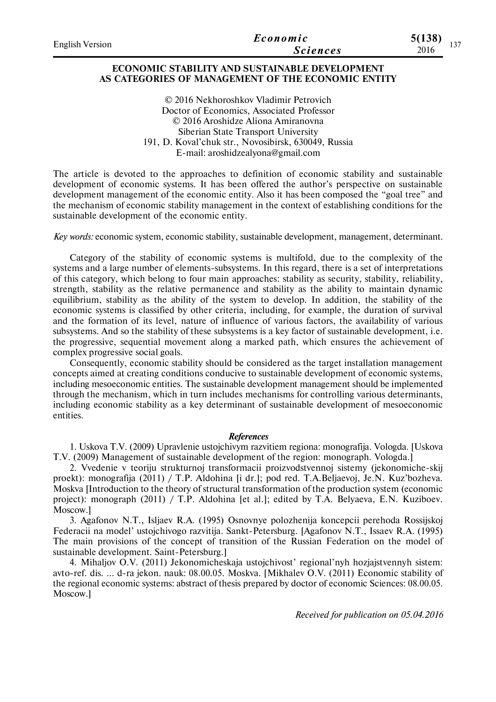| <b>English Version</b> | Economic        | 5(138)<br>$\sim$ $\sim$ $\sim$ |
|------------------------|-----------------|--------------------------------|
|                        | <b>Sciences</b> | 2016                           |

### **ECONOMIC STABILITY AND SUSTAINABLE DEVELOPMENT AS CATEGORIES OF MANAGEMENT OF THE ECONOMIC ENTITY**

© 2016 Nekhoroshkov Vladimir Petrovich Doctor of Economics, Associated Professor © 2016 Aroshidze Aliona Amiranovna Siberian State Transport University 191, D. Koval'chuk str., Novosibirsk, 630049, Russia E-mail: aroshidzealyona@gmail.com

The article is devoted to the approaches to definition of economic stability and sustainable development of economic systems. It has been offered the author's perspective on sustainable development management of the economic entity. Also it has been composed the "goal tree" and the mechanism of economic stability management in the context of establishing conditions for the sustainable development of the economic entity.

*Key words:* economic system, economic stability, sustainable development, management, determinant.

Category of the stability of economic systems is multifold, due to the complexity of the systems and a large number of elements-subsystems. In this regard, there is a set of interpretations of this category, which belong to four main approaches: stability as security, stability, reliability, strength, stability as the relative permanence and stability as the ability to maintain dynamic equilibrium, stability as the ability of the system to develop. In addition, the stability of the economic systems is classified by other criteria, including, for example, the duration of survival and the formation of its level, nature of influence of various factors, the availability of various subsystems. And so the stability of these subsystems is a key factor of sustainable development, i.e. the progressive, sequential movement along a marked path, which ensures the achievement of complex progressive social goals.

Consequently, economic stability should be considered as the target installation management concepts aimed at creating conditions conducive to sustainable development of economic systems, including mesoeconomic entities. The sustainable development management should be implemented through the mechanism, which in turn includes mechanisms for controlling various determinants, including economic stability as a key determinant of sustainable development of mesoeconomic entities.

### *References*

1. Uskova T.V. (2009) Upravlenie ustojchivym razvitiem regiona: monografija. Vologda. [Uskova T.V. (2009) Management of sustainable development of the region: monograph. Vologda.]

2. Vvedenie v teoriju strukturnoj transformacii proizvodstvennoj sistemy (jekonomiche-skij proekt): monografija (2011) / T.P. Aldohina [i dr.]; pod red. T.A.Beljaevoj, Je.N. Kuz'bozheva. Moskva [Introduction to the theory of structural transformation of the production system (economic project): monograph (2011) / T.P. Aldohina [et al.]; edited by T.A. Belyaeva, E.N. Kuziboev. Moscow.]

3. Agafonov N.T., Isljaev R.A. (1995) Osnovnye polozhenija koncepcii perehoda Rossijskoj Federacii na model' ustojchivogo razvitija. Sankt-Petersburg. [Agafonov N.T., Issaev R.A. (1995) The main provisions of the concept of transition of the Russian Federation on the model of sustainable development. Saint-Petersburg.]

4. Mihaljov O.V. (2011) Jekonomicheskaja ustojchivost' regional'nyh hozjajstvennyh sistem: avto-ref. dis. … d-ra jekon. nauk: 08.00.05. Moskva. [Mikhalev O.V. (2011) Economic stability of the regional economic systems: abstract of thesis prepared by doctor of economic Sciences: 08.00.05. Moscow.]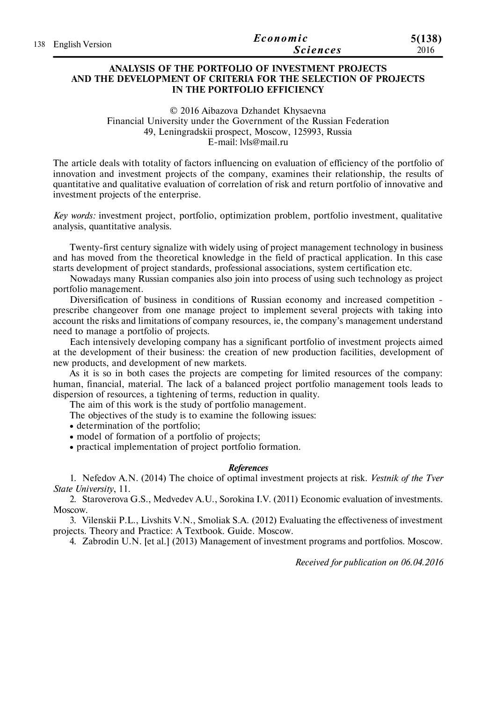|                     | Economic        | 5(138) |
|---------------------|-----------------|--------|
| 138 English Version | <i>Sciences</i> | 2016   |

### **ANALYSIS OF THE PORTFOLIO OF INVESTMENT PROJECTS AND THE DEVELOPMENT OF CRITERIA FOR THE SELECTION OF PROJECTS IN THE PORTFOLIO EFFICIENCY**

© 2016 Aibazova Dzhandet Khysaevna Financial University under the Government of the Russian Federation 49, Leningradskii prospect, Moscow, 125993, Russia E-mail: lvls@mail.ru

The article deals with totality of factors influencing on evaluation of efficiency of the portfolio of innovation and investment projects of the company, examines their relationship, the results of quantitative and qualitative evaluation of correlation of risk and return portfolio of innovative and investment projects of the enterprise.

*Key words:* investment project, portfolio, optimization problem, portfolio investment, qualitative analysis, quantitative analysis.

Twenty-first century signalize with widely using of project management technology in business and has moved from the theoretical knowledge in the field of practical application. In this case starts development of project standards, professional associations, system certification etc.

Nowadays many Russian companies also join into process of using such technology as project portfolio management.

Diversification of business in conditions of Russian economy and increased competition prescribe changeover from one manage project to implement several projects with taking into account the risks and limitations of company resources, ie, the company's management understand need to manage a portfolio of projects.

Each intensively developing company has a significant portfolio of investment projects aimed at the development of their business: the creation of new production facilities, development of new products, and development of new markets.

As it is so in both cases the projects are competing for limited resources of the company: human, financial, material. The lack of a balanced project portfolio management tools leads to dispersion of resources, a tightening of terms, reduction in quality.

The aim of this work is the study of portfolio management.

The objectives of the study is to examine the following issues:

• determination of the portfolio:

• model of formation of a portfolio of projects;

practical implementation of project portfolio formation.

#### *References*

1. Nefedov A.N. (2014) The choice of optimal investment projects at risk. *Vestnik of the Tver State University*, 11.

2. Staroverova G.S., Medvedev A.U., Sorokina I.V. (2011) Economic evaluation of investments. Moscow.

3. Vilenskii P.L., Livshits V.N., Smoliak S.A. (2012) Evaluating the effectiveness of investment projects. Theory and Practice: A Textbook. Guide. Moscow.

4. Zabrodin U.N. [et al.] (2013) Management of investment programs and portfolios. Moscow.

*Received for publication on 06.04.2016*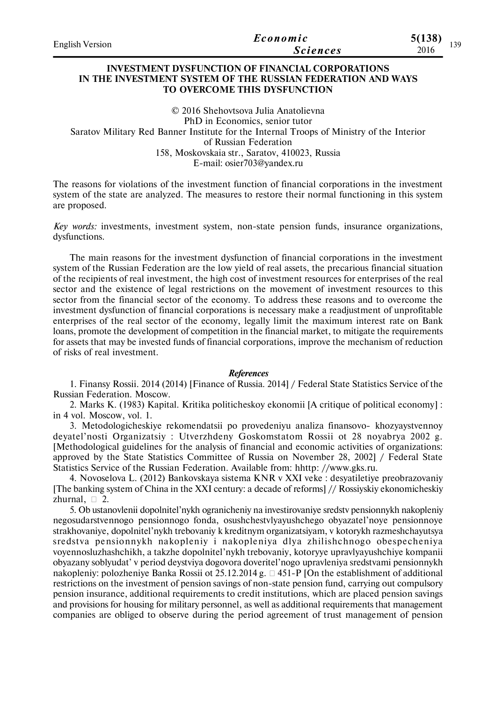| <b>English Version</b> | Economic        | 5(138)<br>130 |
|------------------------|-----------------|---------------|
|                        | <i>Sciences</i> | 2016          |

### **INVESTMENT DYSFUNCTION OF FINANCIAL CORPORATIONS IN THE INVESTMENT SYSTEM OF THE RUSSIAN FEDERATION AND WAYS TO OVERCOME THIS DYSFUNCTION**

© 2016 Shehovtsova Julia Anatolievna PhD in Economics, senior tutor Saratov Military Red Banner Institute for the Internal Troops of Ministry of the Interior of Russian Federation 158, Moskovskaia str., Saratov, 410023, Russia E-mail: osier703@yandex.ru

The reasons for violations of the investment function of financial corporations in the investment system of the state are analyzed. The measures to restore their normal functioning in this system are proposed.

*Key words:* investments, investment system, non-state pension funds, insurance organizations, dysfunctions.

The main reasons for the investment dysfunction of financial corporations in the investment system of the Russian Federation are the low yield of real assets, the precarious financial situation of the recipients of real investment, the high cost of investment resources for enterprises of the real sector and the existence of legal restrictions on the movement of investment resources to this sector from the financial sector of the economy. To address these reasons and to overcome the investment dysfunction of financial corporations is necessary make a readjustment of unprofitable enterprises of the real sector of the economy, legally limit the maximum interest rate on Bank loans, promote the development of competition in the financial market, to mitigate the requirements for assets that may be invested funds of financial corporations, improve the mechanism of reduction of risks of real investment.

#### *References*

1. Finansy Rossii. 2014 (2014) [Finance of Russia. 2014] / Federal State Statistics Service of the Russian Federation. Moscow.

2. Marks K. (1983) Kapital. Kritika politicheskoy ekonomii [A critique of political economy] : in 4 vol. Moscow, vol. 1.

3. Metodologicheskiye rekomendatsii po provedeniyu analiza finansovo- khozyaystvennoy deyatel'nosti Organizatsiy : Utverzhdeny Goskomstatom Rossii ot 28 noyabrya 2002 g. [Methodological guidelines for the analysis of financial and economic activities of organizations: approved by the State Statistics Committee of Russia on November 28, 2002] / Federal State Statistics Service of the Russian Federation. Available from: hhttp: //www.gks.ru.

4. Novoselova L. (2012) Bankovskaya sistema KNR v XXI veke : desyatiletiye preobrazovaniy [The banking system of China in the XXI century: a decade of reforms] // Rossiyskiy ekonomicheskiy zhurnal,  $\Box$  2.

5. Ob ustanovlenii dopolnitel'nykh ogranicheniy na investirovaniye sredstv pensionnykh nakopleniy negosudarstvennogo pensionnogo fonda, osushchestvlyayushchego obyazatel'noye pensionnoye strakhovaniye, dopolnitel'nykh trebovaniy k kreditnym organizatsiyam, v kotorykh razmeshchayutsya sreds tva pensionnykh nakopleniy i nakopleniya dlya zhilishchnogo obespecheniya voyennosluzhashchikh, a takzhe dopolnitel'nykh trebovaniy, kotoryye upravlyayushchiye kompanii obyazany soblyudat' v period deystviya dogovora doveritel'nogo upravleniya sredstvami pensionnykh nakopleniy: polozheniye Banka Rossii ot 25.12.2014 g.  $\Box$  451-P [On the establishment of additional restrictions on the investment of pension savings of non-state pension fund, carrying out compulsory pension insurance, additional requirements to credit institutions, which are placed pension savings and provisions for housing for military personnel, as well as additional requirements that management companies are obliged to observe during the period agreement of trust management of pension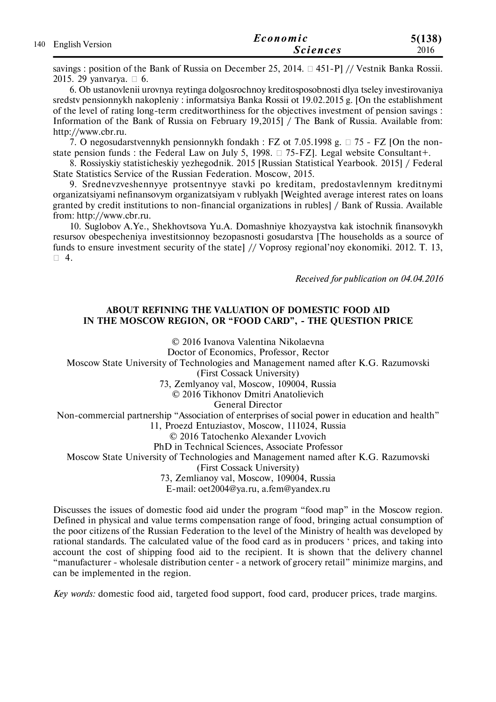| 140 English Version | Economic        | 5(138) |
|---------------------|-----------------|--------|
|                     | <b>Sciences</b> | 2016   |

savings : position of the Bank of Russia on December 25, 2014.  $\Box$  451-P] // Vestnik Banka Rossii. 2015. 29 yanvarya.  $\Box$  6.

6. Ob ustanovlenii urovnya reytinga dolgosrochnoy kreditosposobnosti dlya tseley investirovaniya sredstv pensionnykh nakopleniy : informatsiya Banka Rossii ot 19.02.2015 g. [On the establishment of the level of rating long-term creditworthiness for the objectives investment of pension savings : Information of the Bank of Russia on February 19,2015] / The Bank of Russia. Available from: http://www.cbr.ru.

7. O negosudarstvennykh pensionnykh fondakh : FZ ot 7.05.1998 g.  $\Box$  75 - FZ [On the nonstate pension funds : the Federal Law on July 5, 1998.  $\Box$  75-FZ]. Legal website Consultant+.

8. Rossiyskiy statisticheskiy yezhegodnik. 2015 [Russian Statistical Yearbook. 2015] / Federal State Statistics Service of the Russian Federation. Moscow, 2015.

9. Srednevzveshennyye protsentnyye stavki po kreditam, predostavlennym kreditnymi organizatsiyami nefinansovym organizatsiyam v rublyakh [Weighted average interest rates on loans granted by credit institutions to non-financial organizations in rubles] / Bank of Russia. Available from: http://www.cbr.ru.

10. Suglobov A.Ye., Shekhovtsova Yu.A. Domashniye khozyaystva kak istochnik finansovykh resursov obespecheniya investitsionnoy bezopasnosti gosudarstva [The households as a source of funds to ensure investment security of the state] // Voprosy regional'noy ekonomiki. 2012. T. 13,  $\Box$  4.

*Received for publication on 04.04.2016*

### **ABOUT REFINING THE VALUATION OF DOMESTIC FOOD AID IN THE MOSCOW REGION, OR "FOOD CARD", - THE QUESTION PRICE**

© 2016 Ivanova Valentina Nikolaevna

Doctor of Economics, Professor, Rector

Moscow State University of Technologies and Management named after K.G. Razumovski

(First Cossack University)

73, Zemlyanoy val, Moscow, 109004, Russia

© 2016 Tikhonov Dmitri Anatolievich

General Director

Non-commercial partnership "Association of enterprises of social power in education and health"

11, Proezd Entuziastov, Moscow, 111024, Russia

© 2016 Tatochenko Alexander Lvovich

PhD in Technical Sciences, Associate Professor

Moscow State University of Technologies and Management named after K.G. Razumovski

(First Cossack University)

73, Zemlianoy val, Moscow, 109004, Russia

E-mail: oet2004@ya.ru, a.fem@yandex.ru

Discusses the issues of domestic food aid under the program "food map" in the Moscow region. Defined in physical and value terms compensation range of food, bringing actual consumption of the poor citizens of the Russian Federation to the level of the Ministry of health was developed by rational standards. The calculated value of the food card as in producers ' prices, and taking into account the cost of shipping food aid to the recipient. It is shown that the delivery channel "manufacturer - wholesale distribution center - a network of grocery retail" minimize margins, and can be implemented in the region.

*Key words:* domestic food aid, targeted food support, food card, producer prices, trade margins.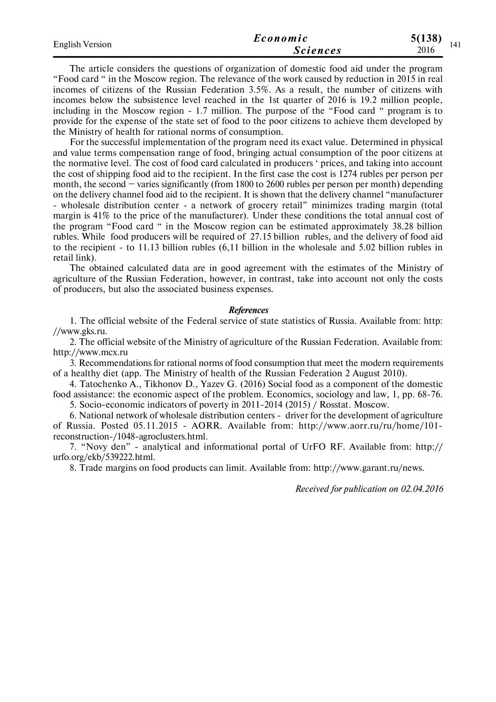|                        |                 | 5(138)      |
|------------------------|-----------------|-------------|
| <b>English Version</b> | <i>Sciences</i> | 141<br>2016 |

The article considers the questions of organization of domestic food aid under the program "Food card " in the Moscow region. The relevance of the work caused by reduction in 2015 in real incomes of citizens of the Russian Federation 3.5%. As a result, the number of citizens with incomes below the subsistence level reached in the 1st quarter of 2016 is 19.2 million people, including in the Moscow region - 1.7 million. The purpose of the "Food card " program is to provide for the expense of the state set of food to the poor citizens to achieve them developed by the Ministry of health for rational norms of consumption.

For the successful implementation of the program need its exact value. Determined in physical and value terms compensation range of food, bringing actual consumption of the poor citizens at the normative level. The cost of food card calculated in producers ' prices, and taking into account the cost of shipping food aid to the recipient. In the first case the cost is 1274 rubles per person per month, the second  $-$  varies significantly (from 1800 to 2600 rubles per person per month) depending on the delivery channel food aid to the recipient. It is shown that the delivery channel "manufacturer - wholesale distribution center - a network of grocery retail" minimizes trading margin (total margin is 41% to the price of the manufacturer). Under these conditions the total annual cost of the program "Food card " in the Moscow region can be estimated approximately 38.28 billion rubles. While food producers will be required of 27.15 billion rubles, and the delivery of food aid to the recipient - to 11.13 billion rubles (6,11 billion in the wholesale and 5.02 billion rubles in retail link).

The obtained calculated data are in good agreement with the estimates of the Ministry of agriculture of the Russian Federation, however, in contrast, take into account not only the costs of producers, but also the associated business expenses.

#### *References*

1. The official website of the Federal service of state statistics of Russia. Available from: http: //www.gks.ru.

2. The official website of the Ministry of agriculture of the Russian Federation. Available from: http://www.mcx.ru

3. Recommendations for rational norms of food consumption that meet the modern requirements of a healthy diet (app. The Ministry of health of the Russian Federation 2 August 2010).

4. Tatochenko A., Tikhonov D., Yazev G. (2016) Social food as a component of the domestic food assistance: the economic aspect of the problem. Economics, sociology and law, 1, pp. 68-76.

5. Socio-economic indicators of poverty in 2011-2014 (2015) / Rosstat. Moscow.

6. National network of wholesale distribution centers - driver for the development of agriculture of Russia. Posted 05.11.2015 - AORR. Available from: http://www.aorr.ru/ru/home/101 reconstruction-/1048-agroclusters.html.

7. "Novy den" - analytical and informational portal of UrFO RF. Available from: http:// urfo.org/ekb/539222.html.

8. Trade margins on food products can limit. Available from: http://www.garant.ru/news.

*Received for publication on 02.04.2016*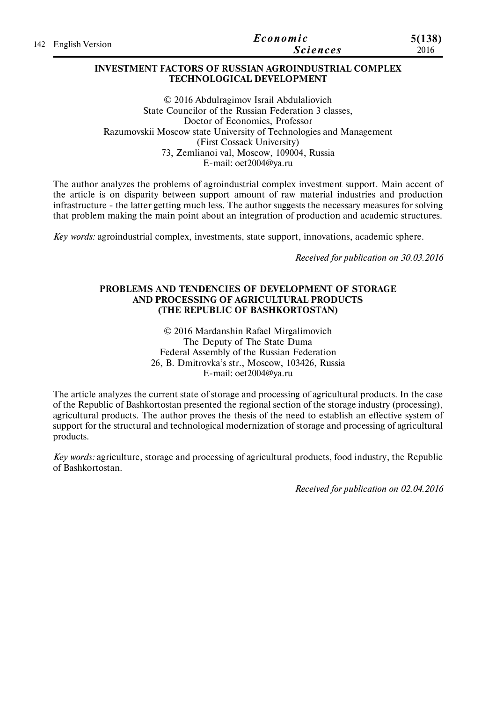|                     | Economic        | 5(138) |
|---------------------|-----------------|--------|
| 142 English Version | <b>Sciences</b> | 2016   |

### **INVESTMENT FACTORS OF RUSSIAN AGROINDUSTRIAL COMPLEX TECHNOLOGICAL DEVELOPMENT**

© 2016 Abdulragimov Israil Abdulaliovich State Councilor of the Russian Federation 3 classes, Doctor of Economics, Professor Razumovskii Moscow state University of Technologies and Management (First Cossack University) 73, Zemlianoi val, Moscow, 109004, Russia E-mail: oet2004@ya.ru

The author analyzes the problems of agroindustrial complex investment support. Main accent of the article is on disparity between support amount of raw material industries and production infrastructure - the latter getting much less. The author suggests the necessary measures for solving that problem making the main point about an integration of production and academic structures.

*Key words:* agroindustrial complex, investments, state support, innovations, academic sphere.

*Received for publication on 30.03.2016*

### **PROBLEMS AND TENDENCIES OF DEVELOPMENT OF STORAGE AND PROCESSING OF AGRICULTURAL PRODUCTS (THE REPUBLIC OF BASHKORTOSTAN)**

© 2016 Mardanshin Rafael Mirgalimovich The Deputy of The State Duma Federal Assembly of the Russian Federation 26, B. Dmitrovka's str., Moscow, 103426, Russia E-mail: oet2004@ya.ru

The article analyzes the current state of storage and processing of agricultural products. In the case of the Republic of Bashkortostan presented the regional section of the storage industry (processing), agricultural products. The author proves the thesis of the need to establish an effective system of support for the structural and technological modernization of storage and processing of agricultural products.

*Key words:* agriculture, storage and processing of agricultural products, food industry, the Republic of Bashkortostan.

*Received for publication on 02.04.2016*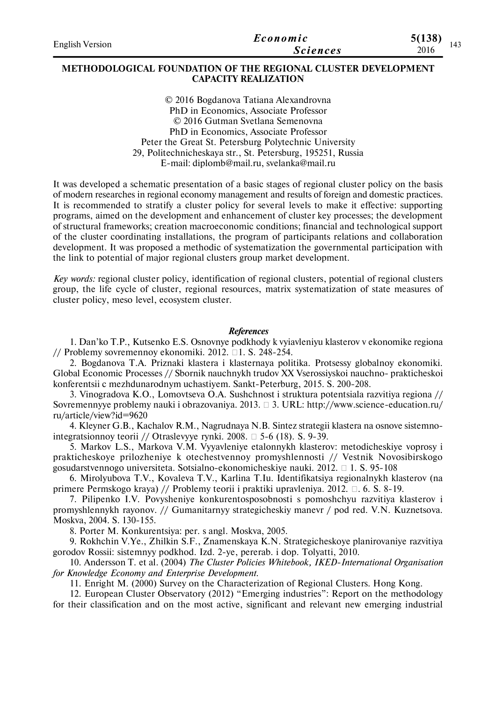| <b>English Version</b> | Economic        | 5(138) |  |
|------------------------|-----------------|--------|--|
|                        | <i>Sciences</i> | 2016   |  |

### **METHODOLOGICAL FOUNDATION OF THE REGIONAL CLUSTER DEVELOPMENT CAPACITY REALIZATION**

© 2016 Bogdanova Tatiana Alexandrovna PhD in Economics, Associate Professor © 2016 Gutman Svetlana Semenovna PhD in Economics, Associate Professor Peter the Great St. Petersburg Polytechnic University 29, Politechnicheskaya str., St. Petersburg, 195251, Russia E-mail: diplomb@mail.ru, svelanka@mail.ru

It was developed a schematic presentation of a basic stages of regional cluster policy on the basis of modern researches in regional economy management and results of foreign and domestic practices. It is recommended to stratify a cluster policy for several levels to make it effective: supporting programs, aimed on the development and enhancement of cluster key processes; the development of structural frameworks; creation macroeconomic conditions; financial and technological support of the cluster coordinating installations, the program of participants relations and collaboration development. It was proposed a methodic of systematization the governmental participation with the link to potential of major regional clusters group market development.

*Key words:* regional cluster policy, identification of regional clusters, potential of regional clusters group, the life cycle of cluster, regional resources, matrix systematization of state measures of cluster policy, meso level, ecosystem cluster.

#### *References*

1. Dan'ko T.P., Kutsenko E.S. Osnovnye podkhody k vyiavleniyu klasterov v ekonomike regiona // Problemy sovremennoy ekonomiki. 2012.  $\Box$  1. S. 248-254.

2. Bogdanova T.A. Priznaki klastera i klasternaya politika. Protsessy globalnoy ekonomiki. Global Economic Processes // Sbornik nauchnykh trudov XX Vserossiyskoi nauchno- prakticheskoi konferentsii c mezhdunarodnym uchastiyem. Sankt-Peterburg, 2015. S. 200-208.

3. Vinogradova K.O., Lomovtseva O.A. Sushchnost i struktura potentsiala razvitiya regiona // Sovremennyye problemy nauki i obrazovaniya. 2013.  $\Box$  3. URL: http://www.science-education.ru/ ru/article/view?id=9620

4. Kleyner G.B., Kachalov R.M., Nagrudnaya N.B. Sintez strategii klastera na osnove sistemnointegratsionnoy teorii // Otraslevyye rynki. 2008.  $\square$  5-6 (18). S. 9-39.

5. Markov L.S., Markova V.M. Vyyavleniye etalonnykh klasterov: metodicheskiye voprosy i prakticheskoye prilozheniye k otechestvennoy promyshlennosti // Vestnik Novosibirskogo gosudarstvennogo universiteta. Sotsialno-ekonomicheskiye nauki. 2012. 1. S. 95-108

6. Mirolyubova T.V., Kovaleva T.V., Karlina T.Iu. Identifikatsiya regionalnykh klasterov (na primere Permskogo kraya) // Problemy teorii i praktiki upravleniya. 2012.  $\Box$ . 6. S. 8-19.

7. Pilipenko I.V. Povysheniye konkurentosposobnosti s pomoshchyu razvitiya klasterov i promyshlennykh rayonov. // Gumanitarnyy strategicheskiy manevr / pod red. V.N. Kuznetsova. Moskva, 2004. S. 130-155.

8. Porter M. Konkurentsiya: per. s angl. Moskva, 2005.

9. Rokhchin V.Ye., Zhilkin S.F., Znamenskaya K.N. Strategicheskoye planirovaniye razvitiya gorodov Rossii: sistemnyy podkhod. Izd. 2-ye, pererab. i dop. Tolyatti, 2010.

10. Andersson T. et al. (2004) *The Cluster Policies Whitebook, IKED-International Organisation for Knowledge Economy and Enterprise Development*.

11. Enright M. (2000) Survey on the Characterization of Regional Clusters. Hong Kong.

12. European Cluster Observatory (2012) "Emerging industries": Report on the methodology for their classification and on the most active, significant and relevant new emerging industrial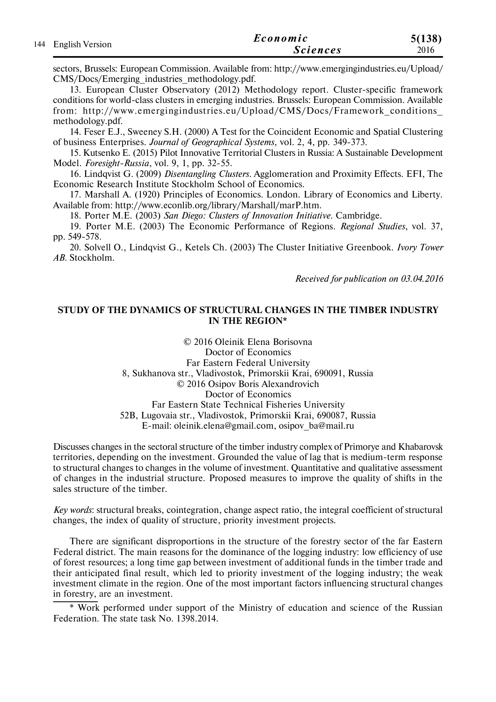| 144 English Version | Economic        | 5(138) |
|---------------------|-----------------|--------|
|                     | <i>Sciences</i> | 2016   |

sectors, Brussels: European Commission. Available from: http://www.emergingindustries.eu/Upload/ CMS/Docs/Emerging\_industries\_methodology.pdf.

13. European Cluster Observatory (2012) Methodology report. Cluster-specific framework conditions for world-class clusters in emerging industries. Brussels: European Commission. Available from: http://www.emergingindustries.eu/Upload/CMS/Docs/Framework\_conditions\_ methodology.pdf.

14. Feser E.J., Sweeney S.H. (2000) A Test for the Coincident Economic and Spatial Clustering of business Enterprises. *Journal of Geographical Systems*, vol. 2, 4, pp. 349-373.

15. Kutsenko E. (2015) Pilot Innovative Territorial Clusters in Russia: A Sustainable Development Model. *Foresight-Russia*, vol. 9, 1, pp. 32-55.

16. Lindqvist G. (2009) *Disentangling Clusters*. Agglomeration and Proximity Effects. EFI, The Economic Research Institute Stockholm School of Economics.

17. Marshall A. (1920) Principles of Economics. London. Library of Economics and Liberty. Available from: http://www.econlib.org/library/Marshall/marP.htm.

18. Porter M.E. (2003) *San Diego: Clusters of Innovation Initiative*. Cambridge.

19. Porter M.E. (2003) The Economic Performance of Regions. *Regional Studies*, vol. 37, pp. 549-578.

20. Solvell O., Lindqvist G., Ketels Ch. (2003) The Cluster Initiative Greenbook. *Ivory Tower AB*. Stockholm.

*Received for publication on 03.04.2016*

### **STUDY OF THE DYNAMICS OF STRUCTURAL CHANGES IN THE TIMBER INDUSTRY IN THE REGION\***

© 2016 Oleinik Elena Borisovna Doctor of Economics Far Eastern Federal University 8, Sukhanova str., Vladivostok, Primorskii Krai, 690091, Russia © 2016 Osipov Boris Alexandrovich Doctor of Economics Far Eastern State Technical Fisheries University 52B, Lugovaia str., Vladivostok, Primorskii Krai, 690087, Russia E-mail: oleinik.elena@gmail.com, osipov\_ba@mail.ru

Discusses changes in the sectoral structure of the timber industry complex of Primorye and Khabarovsk territories, depending on the investment. Grounded the value of lag that is medium-term response to structural changes to changes in the volume of investment. Quantitative and qualitative assessment of changes in the industrial structure. Proposed measures to improve the quality of shifts in the sales structure of the timber.

*Key words*: structural breaks, cointegration, change aspect ratio, the integral coefficient of structural changes, the index of quality of structure, priority investment projects.

There are significant disproportions in the structure of the forestry sector of the far Eastern Federal district. The main reasons for the dominance of the logging industry: low efficiency of use of forest resources; a long time gap between investment of additional funds in the timber trade and their anticipated final result, which led to priority investment of the logging industry; the weak investment climate in the region. One of the most important factors influencing structural changes in forestry, are an investment.

\* Work performed under support of the Ministry of education and science of the Russian Federation. The state task No. 1398.2014.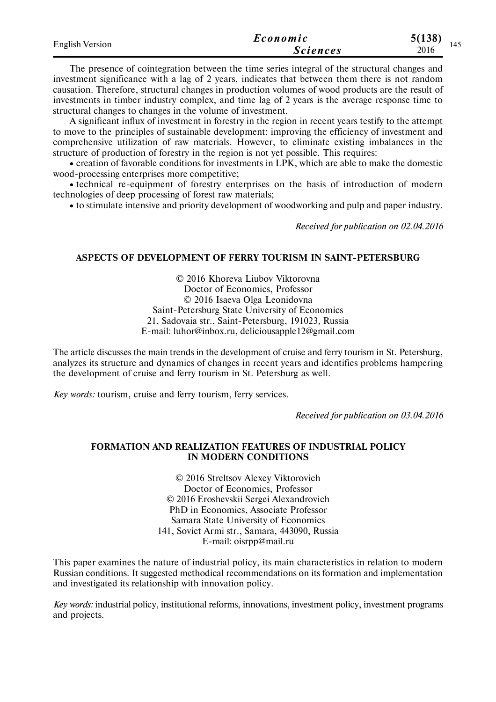| <b>English Version</b> | Economic        | 5(138) |  |
|------------------------|-----------------|--------|--|
|                        | <b>Sciences</b> | 2016   |  |

The presence of cointegration between the time series integral of the structural changes and investment significance with a lag of 2 years, indicates that between them there is not random causation. Therefore, structural changes in production volumes of wood products are the result of investments in timber industry complex, and time lag of 2 years is the average response time to structural changes to changes in the volume of investment.

A significant influx of investment in forestry in the region in recent years testify to the attempt to move to the principles of sustainable development: improving the efficiency of investment and comprehensive utilization of raw materials. However, to eliminate existing imbalances in the structure of production of forestry in the region is not yet possible. This requires:

 creation of favorable conditions for investments in LPK, which are able to make the domestic wood-processing enterprises more competitive;

 technical re-equipment of forestry enterprises on the basis of introduction of modern technologies of deep processing of forest raw materials;

to stimulate intensive and priority development of woodworking and pulp and paper industry.

*Received for publication on 02.04.2016*

### **ASPECTS OF DEVELOPMENT OF FERRY TOURISM IN SAINT-PETERSBURG**

© 2016 Khoreva Liubov Viktorovna Doctor of Economics, Professor © 2016 Isaeva Olga Leonidovna Saint-Petersburg State University of Economics 21, Sadovaia str., Saint-Petersburg, 191023, Russia E-mail: luhor@inbox.ru, deliciousapple12@gmail.com

The article discusses the main trends in the development of cruise and ferry tourism in St. Petersburg, analyzes its structure and dynamics of changes in recent years and identifies problems hampering the development of cruise and ferry tourism in St. Petersburg as well.

*Key words:* tourism, cruise and ferry tourism, ferry services.

*Received for publication on 03.04.2016*

### **FORMATION AND REALIZATION FEATURES OF INDUSTRIAL POLICY IN MODERN CONDITIONS**

© 2016 Streltsov Alexey Viktorovich Doctor of Economics, Professor © 2016 Eroshevskii Sergei Alexandrovich PhD in Economics, Associate Professor Samara State University of Economics 141, Soviet Armi str., Samara, 443090, Russia E-mail: oisrpp@mail.ru

This paper examines the nature of industrial policy, its main characteristics in relation to modern Russian conditions. It suggested methodical recommendations on its formation and implementation and investigated its relationship with innovation policy.

*Key words:* industrial policy, institutional reforms, innovations, investment policy, investment programs and projects.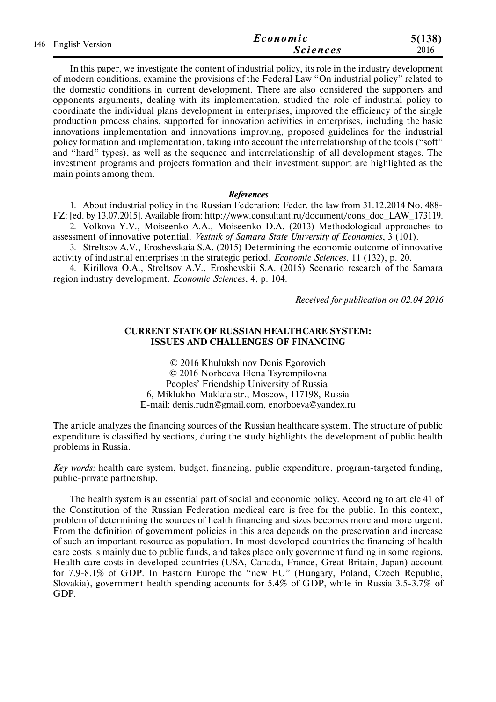| 146 English Version | Economic | 5(138)          |      |
|---------------------|----------|-----------------|------|
|                     |          | <b>Sciences</b> | 2016 |

In this paper, we investigate the content of industrial policy, its role in the industry development of modern conditions, examine the provisions of the Federal Law "On industrial policy" related to the domestic conditions in current development. There are also considered the supporters and opponents arguments, dealing with its implementation, studied the role of industrial policy to coordinate the individual plans development in enterprises, improved the efficiency of the single production process chains, supported for innovation activities in enterprises, including the basic innovations implementation and innovations improving, proposed guidelines for the industrial policy formation and implementation, taking into account the interrelationship of the tools ("soft" and "hard" types), as well as the sequence and interrelationship of all development stages. The investment programs and projects formation and their investment support are highlighted as the main points among them.

#### *References*

1. About industrial policy in the Russian Federation: Feder. the law from 31.12.2014 No. 488- FZ: [ed. by 13.07.2015]. Available from: http://www.consultant.ru/document/cons\_doc\_LAW\_173119. 2. Volkova Y.V., Moiseenko A.A., Moiseenko D.A. (2013) Methodological approaches to

assessment of innovative potential. *Vestnik of Samara State University of Economics*, 3 (101).

3. Streltsov A.V., Eroshevskaia S.A. (2015) Determining the economic outcome of innovative activity of industrial enterprises in the strategic period. *Economic Sciences*, 11 (132), p. 20.

4. Kirillova O.A., Streltsov A.V., Eroshevskii S.A. (2015) Scenario research of the Samara region industry development. *Economic Sciences*, 4, р. 104.

*Received for publication on 02.04.2016*

#### **CURRENT STATE OF RUSSIAN HEALTHCARE SYSTEM: ISSUES AND CHALLENGES OF FINANCING**

© 2016 Khulukshinov Denis Egorovich © 2016 Norboeva Elena Tsyrempilovna Peoples' Friendship University of Russia 6, Miklukho-Maklaia str., Moscow, 117198, Russia E-mail: denis.rudn@gmail.com, enorboeva@yandex.ru

The article analyzes the financing sources of the Russian healthcare system. The structure of public expenditure is classified by sections, during the study highlights the development of public health problems in Russia.

*Key words:* health care system, budget, financing, public expenditure, program-targeted funding, public-private partnership.

The health system is an essential part of social and economic policy. According to article 41 of the Constitution of the Russian Federation medical care is free for the public. In this context, problem of determining the sources of health financing and sizes becomes more and more urgent. From the definition of government policies in this area depends on the preservation and increase of such an important resource as population. In most developed countries the financing of health care costs is mainly due to public funds, and takes place only government funding in some regions. Health care costs in developed countries (USA, Canada, France, Great Britain, Japan) account for 7.9-8.1% of GDP. In Eastern Europe the "new EU" (Hungary, Poland, Czech Republic, Slovakia), government health spending accounts for 5.4% of GDP, while in Russia 3.5-3.7% of GDP.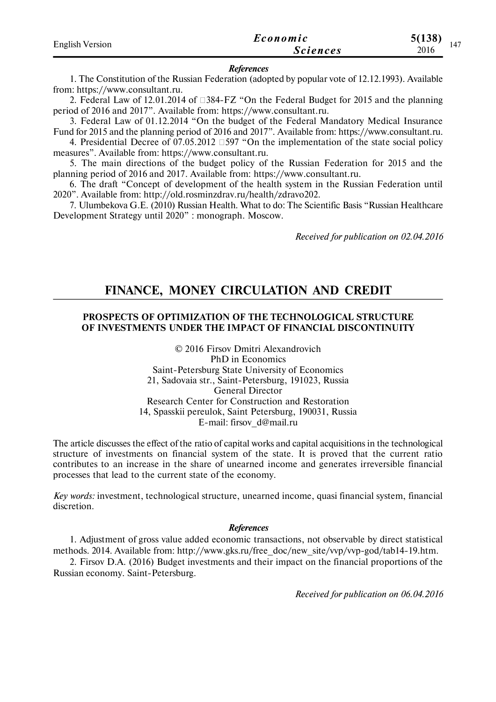| <b>English Version</b> | Economic        | 5(138)<br>147 |
|------------------------|-----------------|---------------|
|                        | <i>Sciences</i> | 2016          |

#### *References*

1. The Constitution of the Russian Federation (adopted by popular vote of 12.12.1993). Available from: https://www.consultant.ru.

2. Federal Law of 12.01.2014 of  $\Box$ 384-FZ "On the Federal Budget for 2015 and the planning period of 2016 and 2017". Available from: https://www.consultant.ru.

3. Federal Law of 01.12.2014 "On the budget of the Federal Mandatory Medical Insurance Fund for 2015 and the planning period of 2016 and 2017". Available from: https://www.consultant.ru.

4. Presidential Decree of  $07.05.2012$   $\Box$ 597 "On the implementation of the state social policy measures". Available from: https://www.consultant.ru.

5. The main directions of the budget policy of the Russian Federation for 2015 and the planning period of 2016 and 2017. Available from: https://www.consultant.ru.

6. The draft "Concept of development of the health system in the Russian Federation until 2020". Available from: http://old.rosminzdrav.ru/health/zdravo202.

7. Ulumbekova G.E. (2010) Russian Health. What to do: The Scientific Basis "Russian Healthcare Development Strategy until 2020" : monograph. Moscow.

*Received for publication on 02.04.2016*

## **FINANCE, MONEY CIRCULATION AND CREDIT**

### **PROSPECTS OF OPTIMIZATION OF THE TECHNOLOGICAL STRUCTURE OF INVESTMENTS UNDER THE IMPACT OF FINANCIAL DISCONTINUITY**

© 2016 Firsov Dmitri Alexandrovich PhD in Economics Saint-Petersburg State University of Economics 21, Sadovaia str., Saint-Petersburg, 191023, Russia General Director Research Center for Construction and Restoration 14, Spasskii pereulok, Saint Petersburg, 190031, Russia E-mail: firsov\_d@mail.ru

The article discusses the effect of the ratio of capital works and capital acquisitions in the technological structure of investments on financial system of the state. It is proved that the current ratio contributes to an increase in the share of unearned income and generates irreversible financial processes that lead to the current state of the economy.

*Key words:* investment, technological structure, unearned income, quasi financial system, financial discretion.

#### *References*

1. Adjustment of gross value added economic transactions, not observable by direct statistical methods. 2014. Available from: http://www.gks.ru/free\_doc/new\_site/vvp/vvp-god/tab14-19.htm.

2. Firsov D.A. (2016) Budget investments and their impact on the financial proportions of the Russian economy. Saint-Petersburg.

*Received for publication on 06.04.2016*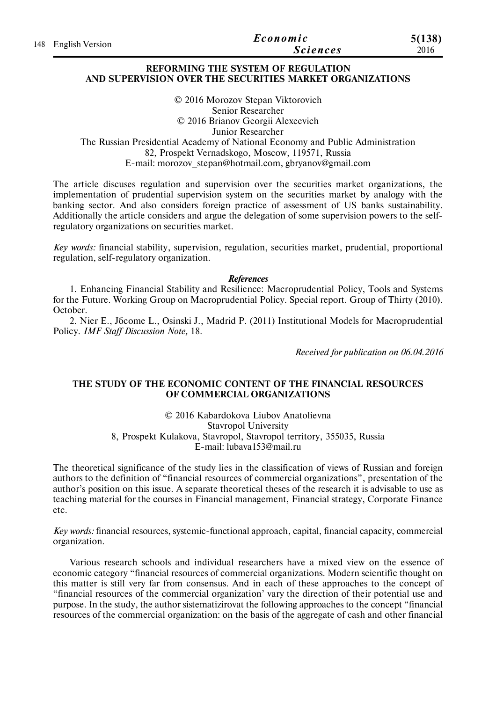| 148 English Version | Economic        | 5(138) |
|---------------------|-----------------|--------|
|                     | <b>Sciences</b> | 2016   |

### **REFORMING THE SYSTEM OF REGULATION AND SUPERVISION OVER THE SECURITIES MARKET ORGANIZATIONS**

© 2016 Morozov Stepan Viktorovich Senior Researcher © 2016 Brianov Georgii Alexeevich Junior Researcher The Russian Presidential Academy of National Economy and Public Administration 82, Prospekt Vernadskogo, Moscow, 119571, Russia E-mail: morozov\_stepan@hotmail.com, gbryanov@gmail.com

The article discuses regulation and supervision over the securities market organizations, the implementation of prudential supervision system on the securities market by analogy with the banking sector. And also considers foreign practice of assessment of US banks sustainability. Additionally the article considers and argue the delegation of some supervision powers to the selfregulatory organizations on securities market.

*Key words:* financial stability, supervision, regulation, securities market, prudential, proportional regulation, self-regulatory organization.

#### *References*

1. Enhancing Financial Stability and Resilience: Macroprudential Policy, Tools and Systems for the Future. Working Group on Macroprudential Policy. Special report. Group of Thirty (2010). October.

2. Nier E., Jбcome L., Osinski J., Madrid P. (2011) Institutional Models for Macroprudential Policy. *IMF Staff Discussion Note,* 18.

*Received for publication on 06.04.2016*

### **THE STUDY OF THE ECONOMIC CONTENT OF THE FINANCIAL RESOURCES OF COMMERCIAL ORGANIZATIONS**

© 2016 Kabardokova Liubov Anatolievna Stavropol University 8, Prospekt Kulakova, Stavropol, Stavropol territory, 355035, Russia E-mail: lubava153@mail.ru

The theoretical significance of the study lies in the classification of views of Russian and foreign authors to the definition of "financial resources of commercial organizations", presentation of the author's position on this issue. A separate theoretical theses of the research it is advisable to use as teaching material for the courses in Financial management, Financial strategy, Corporate Finance etc.

*Key words:* financial resources, systemic-functional approach, capital, financial capacity, commercial organization.

Various research schools and individual researchers have a mixed view on the essence of economic category "financial resources of commercial organizations. Modern scientific thought on this matter is still very far from consensus. And in each of these approaches to the concept of "financial resources of the commercial organization' vary the direction of their potential use and purpose. In the study, the author sistematizirovat the following approaches to the concept "financial resources of the commercial organization: on the basis of the aggregate of cash and other financial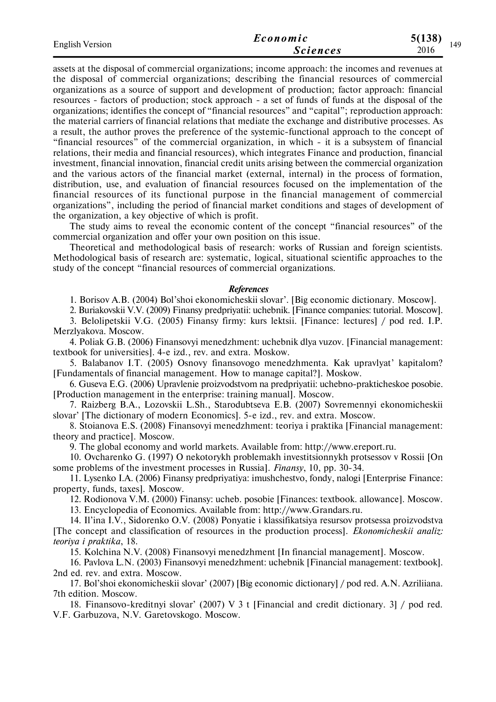| <b>English Version</b> | Economic        | 5(138) | 149 |
|------------------------|-----------------|--------|-----|
|                        | <b>Sciences</b> | 2016   |     |

assets at the disposal of commercial organizations; income approach: the incomes and revenues at the disposal of commercial organizations; describing the financial resources of commercial organizations as a source of support and development of production; factor approach: financial resources - factors of production; stock approach - a set of funds of funds at the disposal of the organizations; identifies the concept of "financial resources" and "capital"; reproduction approach: the material carriers of financial relations that mediate the exchange and distributive processes. As a result, the author proves the preference of the systemic-functional approach to the concept of "financial resources" of the commercial organization, in which - it is a subsystem of financial relations, their media and financial resources), which integrates Finance and production, financial investment, financial innovation, financial credit units arising between the commercial organization and the various actors of the financial market (external, internal) in the process of formation, distribution, use, and evaluation of financial resources focused on the implementation of the financial resources of its functional purpose in the financial management of commercial organizations", including the period of financial market conditions and stages of development of the organization, a key objective of which is profit.

The study aims to reveal the economic content of the concept "financial resources" of the commercial organization and offer your own position on this issue.

Theoretical and methodological basis of research: works of Russian and foreign scientists. Methodological basis of research are: systematic, logical, situational scientific approaches to the study of the concept "financial resources of commercial organizations.

#### *References*

1. Borisov A.B. (2004) Bol'shoi ekonomicheskii slovar'. [Big economic dictionary. Moscow].

2. Buriakovskii V.V. (2009) Finansy predpriyatii: uchebnik. [Finance companies: tutorial. Moscow]. 3. Belolipetskii V.G. (2005) Finansy firmy: kurs lektsii. [Finance: lectures] / pod red. I.P. Merzlyakova. Moscow.

4. Poliak G.B. (2006) Finansovyi menedzhment: uchebnik dlya vuzov. [Financial management: textbook for universities]. 4-e izd., rev. and extra. Moskow.

5. Balabanov I.T. (2005) Osnovy finansovogo menedzhmenta. Kak upravlyat' kapitalom? [Fundamentals of financial management. How to manage capital?]. Moskow.

6. Guseva E.G. (2006) Upravlenie proizvodstvom na predpriyatii: uchebno-prakticheskoe posobie. [Production management in the enterprise: training manual]. Moscow.

7. Raizberg B.A., Lozovskii L.Sh., Starodubtseva E.B. (2007) Sovremennyi ekonomicheskii slovar' [The dictionary of modern Economics]. 5-e izd., rev. and extra. Moscow.

8. Stoianova E.S. (2008) Finansovyi menedzhment: teoriya i praktika [Financial management: theory and practice]. Moscow.

9. The global economy and world markets. Available from: http://www.ereport.ru.

10. Ovcharenko G. (1997) O nekotorykh problemakh investitsionnykh protsessov v Rossii [On some problems of the investment processes in Russia]. *Finansy*, 10, pp. 30-34.

11. Lysenko I.A. (2006) Finansy predpriyatiya: imushchestvo, fondy, nalogi [Enterprise Finance: property, funds, taxes]. Moscow.

12. Rodionova V.M. (2000) Finansy: ucheb. posobie [Finances: textbook. allowance]. Moscow.

13. Encyclopedia of Economics. Available from: http://www.Grandars.ru.

14. Il'ina I.V., Sidorenko O.V. (2008) Ponyatie i klassifikatsiya resursov protsessa proizvodstva [The concept and classification of resources in the production process]. *Ekonomicheskii analiz: teoriya i praktika*, 18.

15. Kolchina N.V. (2008) Finansovyi menedzhment [In financial management]. Moscow.

16. Pavlova L.N. (2003) Finansovyi menedzhment: uchebnik [Financial management: textbook]. 2nd ed. rev. and extra. Moscow.

17. Bol'shoi ekonomicheskii slovar' (2007) [Big economic dictionary] / pod red. A.N. Azriliiana. 7th edition. Moscow.

18. Finansovo-kreditnyi slovar' (2007) V 3 t [Financial and credit dictionary. 3] / pod red. V.F. Garbuzova, N.V. Garetovskogo. Moscow.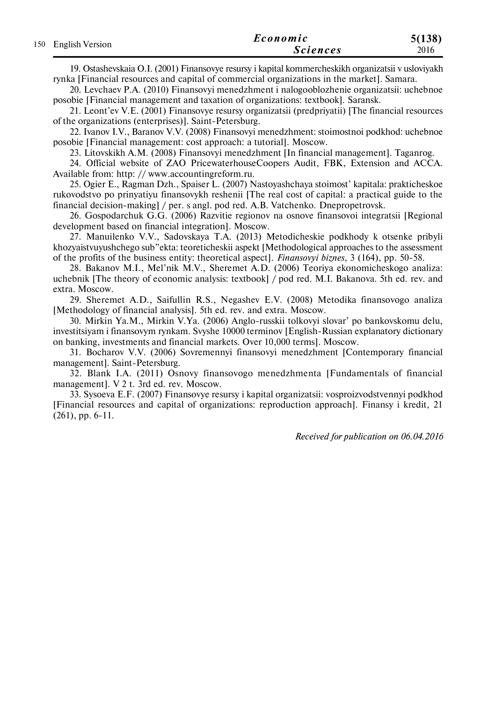|                     | Economic        | 5(138) |
|---------------------|-----------------|--------|
| 150 English Version | <i>Sciences</i> | 2016   |

19. Ostashevskaia O.I. (2001) Finansovye resursy i kapital kommercheskikh organizatsii v usloviyakh rynka [Financial resources and capital of commercial organizations in the market]. Samara.

20. Levchaev P.A. (2010) Finansovyi menedzhment i nalogooblozhenie organizatsii: uchebnoe posobie [Financial management and taxation of organizations: textbook]. Saransk.

21. Leont'ev V.E. (2001) Finansovye resursy organizatsii (predpriyatii) [The financial resources of the organizations (enterprises)]. Saint-Petersburg.

22. Ivanov I.V., Baranov V.V. (2008) Finansovyi menedzhment: stoimostnoi podkhod: uchebnoe posobie [Financial management: cost approach: a tutorial]. Moscow.

23. Litovskikh A.M. (2008) Finansovyi menedzhment [In financial management]. Taganrog.

24. Official website of ZAO PricewaterhouseCoopers Audit, FBK, Extension and ACCA. Available from: http: // www.accountingreform.ru.

25. Ogier E., Ragman Dzh., Spaiser L. (2007) Nastoyashchaya stoimost' kapitala: prakticheskoe rukovodstvo po prinyatiyu finansovykh reshenii [The real cost of capital: a practical guide to the financial decision-making] / per. s angl. pod red. A.B. Vatchenko. Dnepropetrovsk.

26. Gospodarchuk G.G. (2006) Razvitie regionov na osnove finansovoi integratsii [Regional development based on financial integration]. Moscow.

27. Manuilenko V.V., Sadovskaya T.A. (2013) Metodicheskie podkhody k otsenke pribyli khozyaistvuyushchego sub"ekta: teoreticheskii aspekt [Methodological approaches to the assessment of the profits of the business entity: theoretical aspect]. *Finansovyi biznes*, 3 (164), pp. 50-58.

28. Bakanov M.I., Mel'nik M.V., Sheremet A.D. (2006) Teoriya ekonomicheskogo analiza: uchebnik [The theory of economic analysis: textbook] / pod red. M.I. Bakanova. 5th ed. rev. and extra. Moscow.

29. Sheremet A.D., Saifullin R.S., Negashev E.V. (2008) Metodika finansovogo analiza [Methodology of financial analysis]. 5th ed. rev. and extra. Moscow.

30. Mirkin Ya.M., Mirkin V.Ya. (2006) Anglo-russkii tolkovyi slovar' po bankovskomu delu, investitsiyam i finansovym rynkam. Svyshe 10000 terminov [English-Russian explanatory dictionary on banking, investments and financial markets. Over 10,000 terms]. Moscow.

31. Bocharov V.V. (2006) Sovremennyi finansovyi menedzhment [Contemporary financial management]. Saint-Petersburg.

32. Blank I.A. (2011) Osnovy finansovogo menedzhmenta [Fundamentals of financial management]. V 2 t. 3rd ed. rev. Moscow.

33. Sysoeva E.F. (2007) Finansovye resursy i kapital organizatsii: vosproizvodstvennyi podkhod [Financial resources and capital of organizations: reproduction approach]. Finansy i kredit, 21 (261), pp. 6-11.

*Received for publication on 06.04.2016*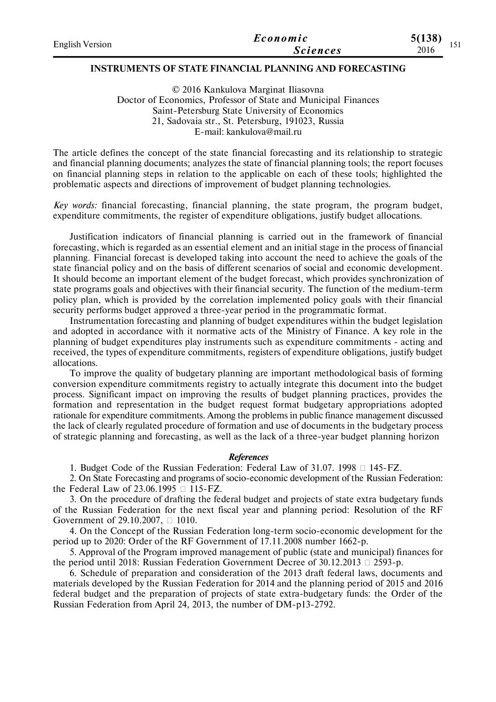| <b>English Version</b> | Economic        | 5(138)        |
|------------------------|-----------------|---------------|
|                        | <b>Sciences</b> | 1 J 1<br>2016 |

### **INSTRUMENTS OF STATE FINANCIAL PLANNING AND FORECASTING**

© 2016 Kankulova Marginat Iliasovna Doctor of Economics, Professor of State and Municipal Finances Saint-Petersburg State University of Economics 21, Sadovaia str., St. Petersburg, 191023, Russia E-mail: kankulova@mail.ru

The article defines the concept of the state financial forecasting and its relationship to strategic and financial planning documents; analyzes the state of financial planning tools; the report focuses on financial planning steps in relation to the applicable on each of these tools; highlighted the problematic aspects and directions of improvement of budget planning technologies.

*Key words:* financial forecasting, financial planning, the state program, the program budget, expenditure commitments, the register of expenditure obligations, justify budget allocations.

Justification indicators of financial planning is carried out in the framework of financial forecasting, which is regarded as an essential element and an initial stage in the process of financial planning. Financial forecast is developed taking into account the need to achieve the goals of the state financial policy and on the basis of different scenarios of social and economic development. It should become an important element of the budget forecast, which provides synchronization of state programs goals and objectives with their financial security. The function of the medium-term policy plan, which is provided by the correlation implemented policy goals with their financial security performs budget approved a three-year period in the programmatic format.

Instrumentation forecasting and planning of budget expenditures within the budget legislation and adopted in accordance with it normative acts of the Ministry of Finance. A key role in the planning of budget expenditures play instruments such as expenditure commitments - acting and received, the types of expenditure commitments, registers of expenditure obligations, justify budget allocations.

To improve the quality of budgetary planning are important methodological basis of forming conversion expenditure commitments registry to actually integrate this document into the budget process. Significant impact on improving the results of budget planning practices, provides the formation and representation in the budget request format budgetary appropriations adopted rationale for expenditure commitments. Among the problems in public finance management discussed the lack of clearly regulated procedure of formation and use of documents in the budgetary process of strategic planning and forecasting, as well as the lack of a three-year budget planning horizon

#### *References*

1. Budget Code of the Russian Federation: Federal Law of 31.07. 1998  $\Box$  145-FZ.

2. On State Forecasting and programs of socio-economic development of the Russian Federation: the Federal Law of 23.06.1995  $\Box$  115-FZ.

3. On the procedure of drafting the federal budget and projects of state extra budgetary funds of the Russian Federation for the next fiscal year and planning period: Resolution of the RF Government of 29.10.2007,  $\Box$  1010.

4. On the Concept of the Russian Federation long-term socio-economic development for the period up to 2020: Order of the RF Government of 17.11.2008 number 1662-p.

5. Approval of the Program improved management of public (state and municipal) finances for the period until 2018: Russian Federation Government Decree of  $30.12.2013 \square 2593-p$ .

6. Schedule of preparation and consideration of the 2013 draft federal laws, documents and materials developed by the Russian Federation for 2014 and the planning period of 2015 and 2016 federal budget and the preparation of projects of state extra-budgetary funds: the Order of the Russian Federation from April 24, 2013, the number of DM-p13-2792.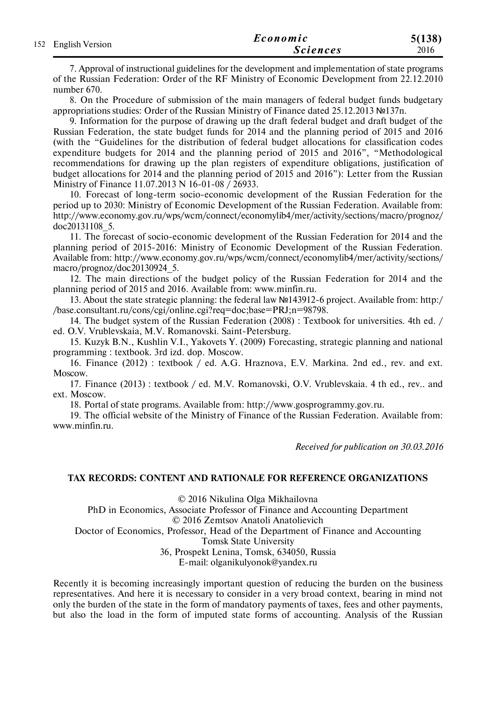| 152 English Version | Economic        | 5(138) |
|---------------------|-----------------|--------|
|                     | <b>Sciences</b> | 2016   |

7. Approval of instructional guidelines for the development and implementation of state programs of the Russian Federation: Order of the RF Ministry of Economic Development from 22.12.2010 number 670.

8. On the Procedure of submission of the main managers of federal budget funds budgetary appropriations studies: Order of the Russian Ministry of Finance dated 25.12.2013 №137n.

9. Information for the purpose of drawing up the draft federal budget and draft budget of the Russian Federation, the state budget funds for 2014 and the planning period of 2015 and 2016 (with the "Guidelines for the distribution of federal budget allocations for classification codes expenditure budgets for 2014 and the planning period of 2015 and 2016", "Methodological recommendations for drawing up the plan registers of expenditure obligations, justification of budget allocations for 2014 and the planning period of 2015 and 2016"): Letter from the Russian Ministry of Finance 11.07.2013 N 16-01-08 / 26933.

10. Forecast of long-term socio-economic development of the Russian Federation for the period up to 2030: Ministry of Economic Development of the Russian Federation. Available from: http://www.economy.gov.ru/wps/wcm/connect/economylib4/mer/activity/sections/macro/prognoz/ doc20131108\_5.

11. The forecast of socio-economic development of the Russian Federation for 2014 and the planning period of 2015-2016: Ministry of Economic Development of the Russian Federation. Available from: http://www.economy.gov.ru/wps/wcm/connect/economylib4/mer/activity/sections/ macro/prognoz/doc20130924\_5.

12. The main directions of the budget policy of the Russian Federation for 2014 and the planning period of 2015 and 2016. Available from: www.minfin.ru.

13. About the state strategic planning: the federal law №143912-6 project. Available from: http:/ /base.consultant.ru/cons/cgi/online.cgi?req=doc;base=PRJ;n=98798.

14. The budget system of the Russian Federation (2008) : Textbook for universities. 4th ed. / ed. O.V. Vrublevskaia, M.V. Romanovski. Saint-Petersburg.

15. Kuzyk B.N., Kushlin V.I., Yakovets Y. (2009) Forecasting, strategic planning and national programming : textbook. 3rd izd. dop. Moscow.

16. Finance (2012) : textbook / ed. A.G. Hraznova, E.V. Markina. 2nd ed., rev. and ext. Moscow.

17. Finance (2013) : textbook / ed. M.V. Romanovski, O.V. Vrublevskaia. 4 th ed., rev.. and ext. Moscow.

18. Portal of state programs. Available from: http://www.gosprogrammy.gov.ru.

19. The official website of the Ministry of Finance of the Russian Federation. Available from: www.minfin.ru.

*Received for publication on 30.03.2016*

### **TAX RECORDS: CONTENT AND RATIONALE FOR REFERENCE ORGANIZATIONS**

© 2016 Nikulina Olga Mikhailovna

PhD in Economics, Associate Professor of Finance and Accounting Department

© 2016 Zemtsov Anatoli Anatolievich

Doctor of Economics, Professor, Head of the Department of Finance and Accounting

Tomsk State University

36, Prospekt Lenina, Tomsk, 634050, Russia

E-mail: olganikulyonok@yandex.ru

Recently it is becoming increasingly important question of reducing the burden on the business representatives. And here it is necessary to consider in a very broad context, bearing in mind not only the burden of the state in the form of mandatory payments of taxes, fees and other payments, but also the load in the form of imputed state forms of accounting. Analysis of the Russian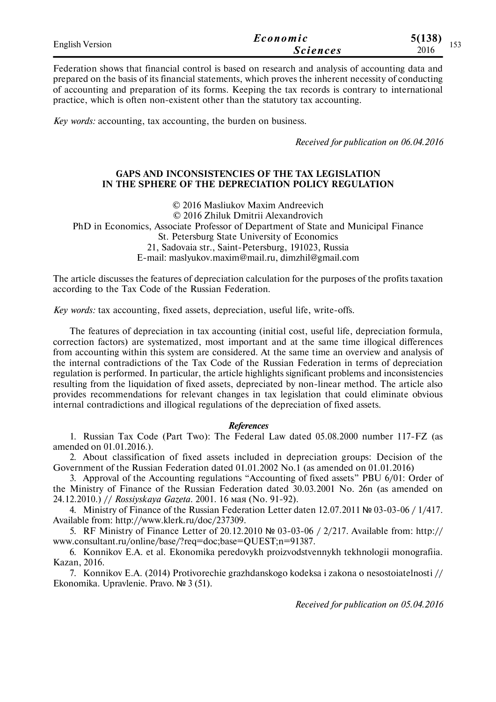| <b>English Version</b> | Economic        | 5(138)<br>$\sim$ $\sim$ $\sim$ |
|------------------------|-----------------|--------------------------------|
|                        | <i>Sciences</i> | 1 J J<br>2016                  |

Federation shows that financial control is based on research and analysis of accounting data and prepared on the basis of its financial statements, which proves the inherent necessity of conducting of accounting and preparation of its forms. Keeping the tax records is contrary to international practice, which is often non-existent other than the statutory tax accounting.

*Key words:* accounting, tax accounting, the burden on business.

*Received for publication on 06.04.2016*

### **GAPS AND INCONSISTENCIES OF THE TAX LEGISLATION IN THE SPHERE OF THE DEPRECIATION POLICY REGULATION**

© 2016 Masliukov Maxim Andreevich © 2016 Zhiluk Dmitrii Alexandrovich PhD in Economics, Associate Professor of Department of State and Municipal Finance St. Petersburg State University of Economics 21, Sadovaia str., Saint-Petersburg, 191023, Russia E-mail: maslyukov.maxim@mail.ru, dimzhil@gmail.com

The article discusses the features of depreciation calculation for the purposes of the profits taxation according to the Tax Code of the Russian Federation.

*Key words:* tax accounting, fixed assets, depreciation, useful life, write-offs.

The features of depreciation in tax accounting (initial cost, useful life, depreciation formula, correction factors) are systematized, most important and at the same time illogical differences from accounting within this system are considered. At the same time an overview and analysis of the internal contradictions of the Tax Code of the Russian Federation in terms of depreciation regulation is performed. In particular, the article highlights significant problems and inconsistencies resulting from the liquidation of fixed assets, depreciated by non-linear method. The article also provides recommendations for relevant changes in tax legislation that could eliminate obvious internal contradictions and illogical regulations of the depreciation of fixed assets.

#### *References*

1. Russian Tax Code (Part Two): The Federal Law dated 05.08.2000 number 117-FZ (as amended on 01.01.2016.).

2. About classification of fixed assets included in depreciation groups: Decision of the Government of the Russian Federation dated 01.01.2002 No.1 (as amended on 01.01.2016)

3. Approval of the Accounting regulations "Accounting of fixed assets" PBU 6/01: Order of the Ministry of Finance of the Russian Federation dated 30.03.2001 No. 26n (as amended on 24.12.2010.) // *Rossiyskaya Gazeta.* 2001. 16 мая (No. 91-92).

4. Ministry of Finance of the Russian Federation Letter daten 12.07.2011 № 03-03-06 / 1/417. Available from: http://www.klerk.ru/doc/237309.

5. RF Ministry of Finance Letter of 20.12.2010 № 03-03-06 / 2/217. Available from: http:// www.consultant.ru/online/base/?req=doc;base=QUEST;n=91387.

6. Konnikov E.A. et al. Ekonomika peredovykh proizvodstvennykh tekhnologii monografiia. Kazan, 2016.

7. Konnikov E.A. (2014) Protivorechie grazhdanskogo kodeksa i zakona o nesostoiatelnosti // Ekonomika. Upravlenie. Pravo. № 3 (51).

*Received for publication on 05.04.2016*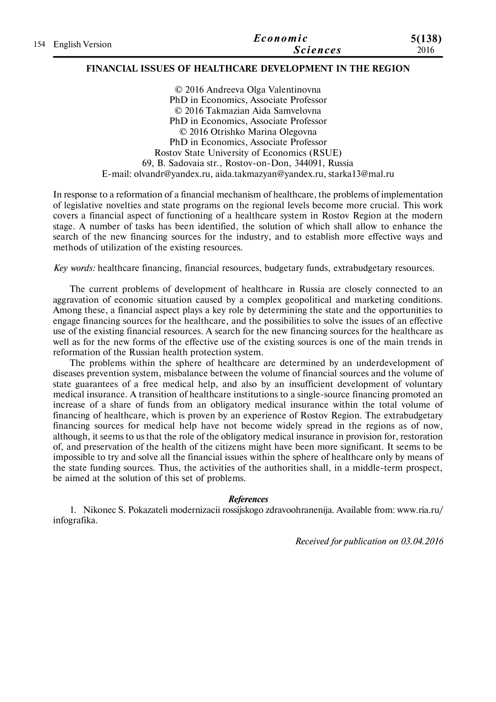|                     | Economic        | 5(138) |
|---------------------|-----------------|--------|
| 154 English Version | <b>Sciences</b> | 2016   |

### **FINANCIAL ISSUES OF HEALTHCARE DEVELOPMENT IN THE REGION**

© 2016 Andreeva Olga Valentinovna PhD in Economics, Associate Professor © 2016 Takmazian Aida Samvelovna PhD in Economics, Associate Professor © 2016 Otrishko Marina Olegovna PhD in Economics, Associate Professor Rostov State University of Economics (RSUE) 69, B. Sadovaia str., Rostov-on-Don, 344091, Russia E-mail: olvandr@yandex.ru, aida.takmazyan@yandex.ru, starka13@mal.ru

In response to a reformation of a financial mechanism of healthcare, the problems of implementation of legislative novelties and state programs on the regional levels become more crucial. This work covers a financial aspect of functioning of a healthcare system in Rostov Region at the modern stage. A number of tasks has been identified, the solution of which shall allow to enhance the search of the new financing sources for the industry, and to establish more effective ways and methods of utilization of the existing resources.

*Key words:* healthcare financing, financial resources, budgetary funds, extrabudgetary resources.

The current problems of development of healthcare in Russia are closely connected to an aggravation of economic situation caused by a complex geopolitical and marketing conditions. Among these, a financial aspect plays a key role by determining the state and the opportunities to engage financing sources for the healthcare, and the possibilities to solve the issues of an effective use of the existing financial resources. A search for the new financing sources for the healthcare as well as for the new forms of the effective use of the existing sources is one of the main trends in reformation of the Russian health protection system.

The problems within the sphere of healthcare are determined by an underdevelopment of diseases prevention system, misbalance between the volume of financial sources and the volume of state guarantees of a free medical help, and also by an insufficient development of voluntary medical insurance. A transition of healthcare institutions to a single-source financing promoted an increase of a share of funds from an obligatory medical insurance within the total volume of financing of healthcare, which is proven by an experience of Rostov Region. The extrabudgetary financing sources for medical help have not become widely spread in the regions as of now, although, it seems to us that the role of the obligatory medical insurance in provision for, restoration of, and preservation of the health of the citizens might have been more significant. It seems to be impossible to try and solve all the financial issues within the sphere of healthcare only by means of the state funding sources. Thus, the activities of the authorities shall, in a middle-term prospect, be aimed at the solution of this set of problems.

#### *References*

1. Nikonec S. Pokazateli modernizacii rossijskogo zdravoohranenija. Available from: www.ria.ru/ infografika.

*Received for publication on 03.04.2016*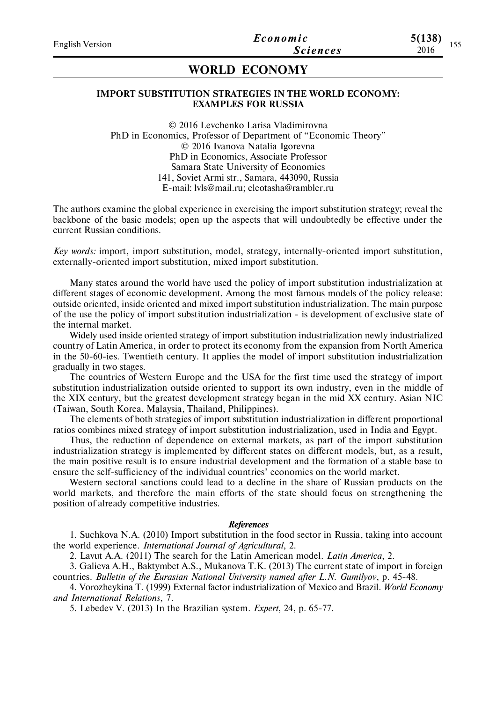## **WORLD ECONOMY**

#### **IMPORT SUBSTITUTION STRATEGIES IN THE WORLD ECONOMY: EXAMPLES FOR RUSSIA**

© 2016 Levchenko Larisa Vladimirovna PhD in Economics, Professor of Department of "Economic Theory" © 2016 Ivanova Natalia Igorevna PhD in Economics, Associate Professor Samara State University of Economics 141, Soviet Armi str., Samara, 443090, Russia E-mail: lvls@mail.ru; cleotasha@rambler.ru

The authors examine the global experience in exercising the import substitution strategy; reveal the backbone of the basic models; open up the aspects that will undoubtedly be effective under the current Russian conditions.

*Key words:* import, import substitution, model, strategy, internally-oriented import substitution, externally-oriented import substitution, mixed import substitution.

Many states around the world have used the policy of import substitution industrialization at different stages of economic development. Among the most famous models of the policy release: outside oriented, inside oriented and mixed import substitution industrialization. The main purpose of the use the policy of import substitution industrialization - is development of exclusive state of the internal market.

Widely used inside oriented strategy of import substitution industrialization newly industrialized country of Latin America, in order to protect its economy from the expansion from North America in the 50-60-ies. Twentieth century. It applies the model of import substitution industrialization gradually in two stages.

The countries of Western Europe and the USA for the first time used the strategy of import substitution industrialization outside oriented to support its own industry, even in the middle of the XIX century, but the greatest development strategy began in the mid XX century. Asian NIC (Taiwan, South Korea, Malaysia, Thailand, Philippines).

The elements of both strategies of import substitution industrialization in different proportional ratios combines mixed strategy of import substitution industrialization, used in India and Egypt.

Thus, the reduction of dependence on external markets, as part of the import substitution industrialization strategy is implemented by different states on different models, but, as a result, the main positive result is to ensure industrial development and the formation of a stable base to ensure the self-sufficiency of the individual countries' economies on the world market.

Western sectoral sanctions could lead to a decline in the share of Russian products on the world markets, and therefore the main efforts of the state should focus on strengthening the position of already competitive industries.

#### *References*

1. Suchkovа N.A. (2010) Import substitution in the food sector in Russia, taking into account the world experience. *International Journal of Agricultural*, 2.

2. Lavut A.A. (2011) The search for the Latin American model. *Latin America*, 2.

3. Galievа A.H., Baktymbet A.S., Mukanova T.K. (2013) The current state of import in foreign countries. *Bulletin of the Eurasian National University named after L.N. Gumilyov*, p. 45-48.

4. Vorozheykina T. (1999) External factor industrialization of Mexico and Brazil. *World Economy and International Relations*, 7.

5. Lebedev V. (2013) In the Brazilian system. *Expert*, 24, p. 65-77.